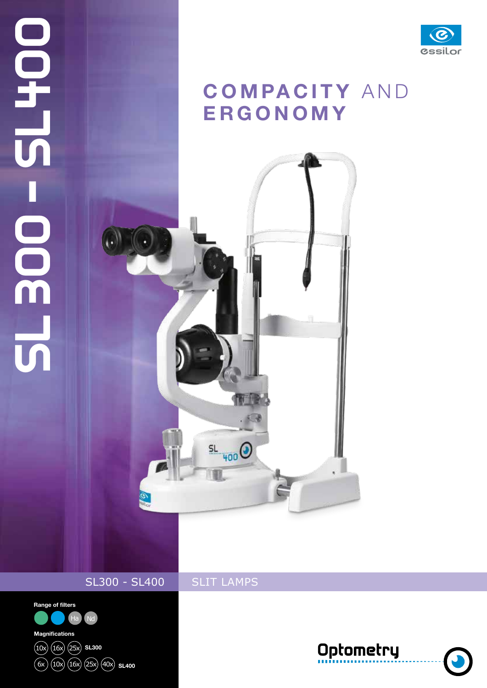



# **COMPACITY AND** ERGONOMY

SL300 - SL400 SLIT LAMPS

新市

SL 400 0